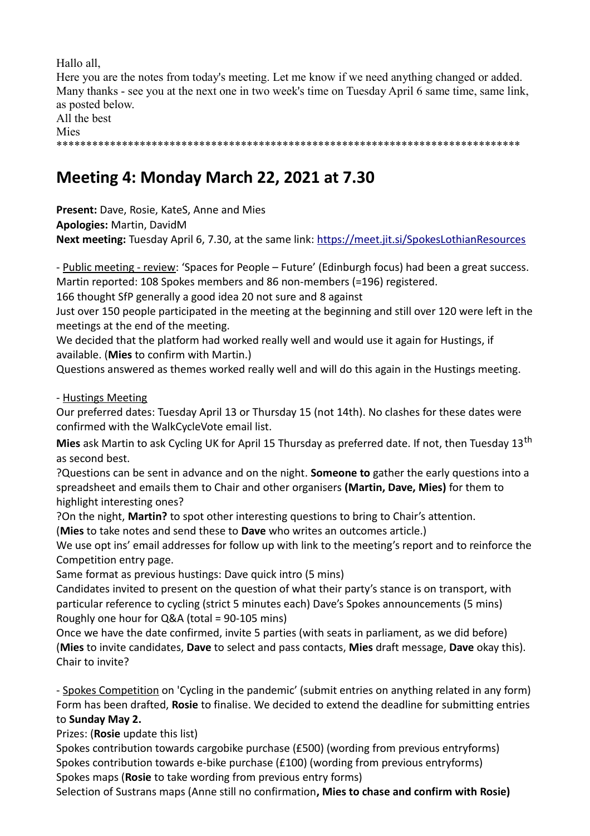Hallo all,

Here you are the notes from today's meeting. Let me know if we need anything changed or added. Many thanks - see you at the next one in two week's time on Tuesday April 6 same time, same link, as posted below. All the best

Mies

\*\*\*\*\*\*\*\*\*\*\*\*\*\*\*\*\*\*\*\*\*\*\*\*\*\*\*\*\*\*\*\*\*\*\*\*\*\*\*\*\*\*\*\*\*\*\*\*\*\*\*\*\*\*\*\*\*\*\*\*\*\*\*\*\*\*\*\*\*\*\*\*\*\*\*\*\*\*

## **Meeting 4: Monday March 22, 2021 at 7.30**

**Present:** Dave, Rosie, KateS, Anne and Mies **Apologies:** Martin, DavidM **Next meeting:** Tuesday April 6, 7.30, at the same link:<https://meet.jit.si/SpokesLothianResources>

- Public meeting - review: 'Spaces for People – Future' (Edinburgh focus) had been a great success. Martin reported: 108 Spokes members and 86 non-members (=196) registered.

166 thought SfP generally a good idea 20 not sure and 8 against

Just over 150 people participated in the meeting at the beginning and still over 120 were left in the meetings at the end of the meeting.

We decided that the platform had worked really well and would use it again for Hustings, if available. (**Mies** to confirm with Martin.)

Questions answered as themes worked really well and will do this again in the Hustings meeting.

- Hustings Meeting

Our preferred dates: Tuesday April 13 or Thursday 15 (not 14th). No clashes for these dates were confirmed with the WalkCycleVote email list.

Mies ask Martin to ask Cycling UK for April 15 Thursday as preferred date. If not, then Tuesday 13<sup>th</sup> as second best.

?Questions can be sent in advance and on the night. **Someone to** gather the early questions into a spreadsheet and emails them to Chair and other organisers **(Martin, Dave, Mies)** for them to highlight interesting ones?

?On the night, **Martin?** to spot other interesting questions to bring to Chair's attention.

(**Mies** to take notes and send these to **Dave** who writes an outcomes article.)

We use opt ins' email addresses for follow up with link to the meeting's report and to reinforce the Competition entry page.

Same format as previous hustings: Dave quick intro (5 mins)

Candidates invited to present on the question of what their party's stance is on transport, with particular reference to cycling (strict 5 minutes each) Dave's Spokes announcements (5 mins) Roughly one hour for Q&A (total = 90-105 mins)

Once we have the date confirmed, invite 5 parties (with seats in parliament, as we did before) (**Mies** to invite candidates, **Dave** to select and pass contacts, **Mies** draft message, **Dave** okay this). Chair to invite?

- Spokes Competition on 'Cycling in the pandemic' (submit entries on anything related in any form) Form has been drafted, **Rosie** to finalise. We decided to extend the deadline for submitting entries to **Sunday May 2.**

Prizes: (**Rosie** update this list)

Spokes contribution towards cargobike purchase (£500) (wording from previous entryforms) Spokes contribution towards e-bike purchase (£100) (wording from previous entryforms) Spokes maps (**Rosie** to take wording from previous entry forms)

Selection of Sustrans maps (Anne still no confirmation**, Mies to chase and confirm with Rosie)**